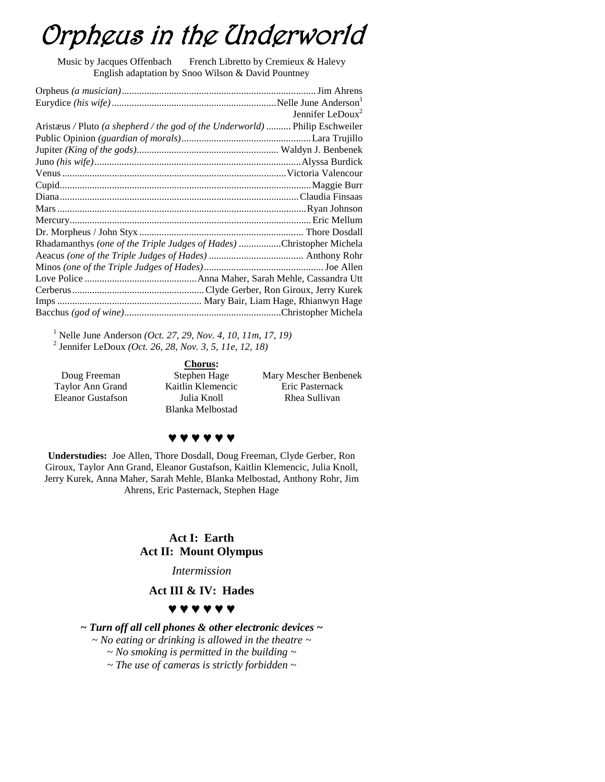# Orpheus in the Underworld

Music by Jacques Offenbach French Libretto by Cremieux & Halevy English adaptation by Snoo Wilson & David Pountney

|                                                                              | Jennifer LeDoux <sup>2</sup> |
|------------------------------------------------------------------------------|------------------------------|
| Aristæus / Pluto (a shepherd / the god of the Underworld)  Philip Eschweiler |                              |
|                                                                              |                              |
|                                                                              |                              |
|                                                                              |                              |
|                                                                              |                              |
|                                                                              |                              |
|                                                                              |                              |
|                                                                              |                              |
|                                                                              |                              |
|                                                                              |                              |
| Rhadamanthys (one of the Triple Judges of Hades) Christopher Michela         |                              |
|                                                                              |                              |
|                                                                              |                              |
|                                                                              |                              |
|                                                                              |                              |
|                                                                              |                              |
|                                                                              |                              |

<sup>1</sup> Nelle June Anderson *(Oct. 27, 29, Nov. 4, 10, 11m, 17, 19)* 2 Jennifer LeDoux *(Oct. 26, 28, Nov. 3, 5, 11e, 12, 18)*

Doug Freeman Taylor Ann Grand Eleanor Gustafson

**Chorus:** Stephen Hage Kaitlin Klemencic Julia Knoll Blanka Melbostad

Mary Mescher Benbenek Eric Pasternack Rhea Sullivan

### **♥ ♥ ♥ ♥ ♥ ♥**

**Understudies:** Joe Allen, Thore Dosdall, Doug Freeman, Clyde Gerber, Ron Giroux, Taylor Ann Grand, Eleanor Gustafson, Kaitlin Klemencic, Julia Knoll, Jerry Kurek, Anna Maher, Sarah Mehle, Blanka Melbostad, Anthony Rohr, Jim Ahrens, Eric Pasternack, Stephen Hage

#### **Act I: Earth Act II: Mount Olympus**

*Intermission*

#### **Act III & IV: Hades**

#### **♥ ♥ ♥ ♥ ♥ ♥**

*~ Turn off all cell phones & other electronic devices ~*

*~ No eating or drinking is allowed in the theatre ~*

*~ No smoking is permitted in the building ~*

*~ The use of cameras is strictly forbidden ~*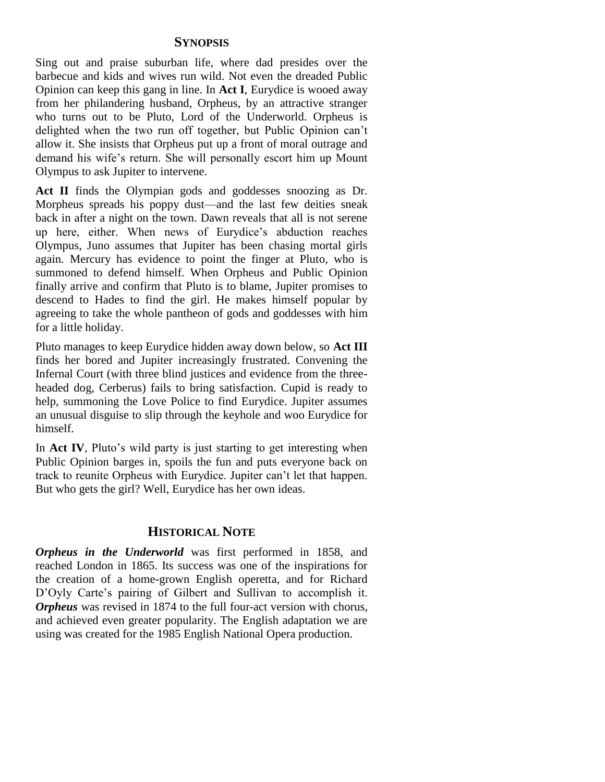### **SYNOPSIS**

Sing out and praise suburban life, where dad presides over the barbecue and kids and wives run wild. Not even the dreaded Public Opinion can keep this gang in line. In **Act I**, Eurydice is wooed away from her philandering husband, Orpheus, by an attractive stranger who turns out to be Pluto, Lord of the Underworld. Orpheus is delighted when the two run off together, but Public Opinion can't allow it. She insists that Orpheus put up a front of moral outrage and demand his wife's return. She will personally escort him up Mount Olympus to ask Jupiter to intervene.

**Act II** finds the Olympian gods and goddesses snoozing as Dr. Morpheus spreads his poppy dust—and the last few deities sneak back in after a night on the town. Dawn reveals that all is not serene up here, either. When news of Eurydice's abduction reaches Olympus, Juno assumes that Jupiter has been chasing mortal girls again. Mercury has evidence to point the finger at Pluto, who is summoned to defend himself. When Orpheus and Public Opinion finally arrive and confirm that Pluto is to blame, Jupiter promises to descend to Hades to find the girl. He makes himself popular by agreeing to take the whole pantheon of gods and goddesses with him for a little holiday.

Pluto manages to keep Eurydice hidden away down below, so **Act III** finds her bored and Jupiter increasingly frustrated. Convening the Infernal Court (with three blind justices and evidence from the threeheaded dog, Cerberus) fails to bring satisfaction. Cupid is ready to help, summoning the Love Police to find Eurydice. Jupiter assumes an unusual disguise to slip through the keyhole and woo Eurydice for himself.

In **Act IV**, Pluto's wild party is just starting to get interesting when Public Opinion barges in, spoils the fun and puts everyone back on track to reunite Orpheus with Eurydice. Jupiter can't let that happen. But who gets the girl? Well, Eurydice has her own ideas.

# **HISTORICAL NOTE**

*Orpheus in the Underworld* was first performed in 1858, and reached London in 1865. Its success was one of the inspirations for the creation of a home-grown English operetta, and for Richard D'Oyly Carte's pairing of Gilbert and Sullivan to accomplish it. *Orpheus* was revised in 1874 to the full four-act version with chorus, and achieved even greater popularity. The English adaptation we are using was created for the 1985 English National Opera production.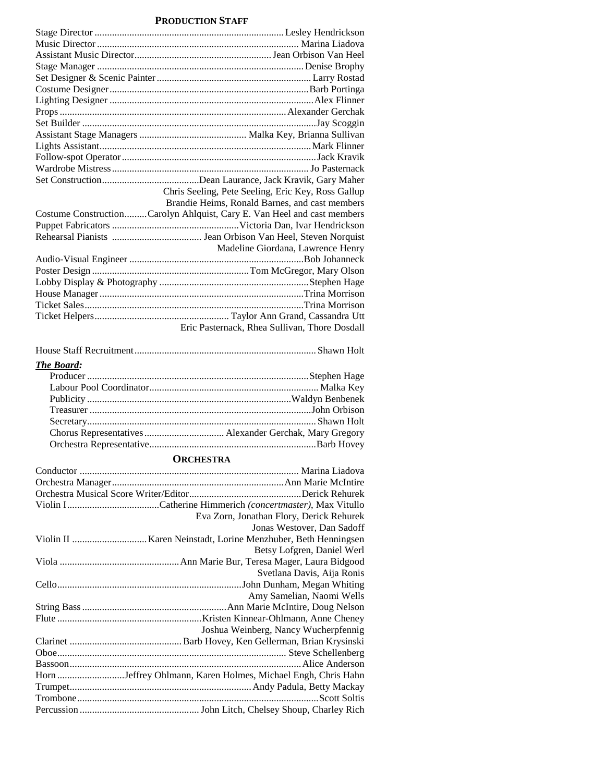#### **PRODUCTION STAFF**

| Chris Seeling, Pete Seeling, Eric Key, Ross Gallup                                                             |
|----------------------------------------------------------------------------------------------------------------|
| Brandie Heims, Ronald Barnes, and cast members                                                                 |
| Costume ConstructionCarolyn Ahlquist, Cary E. Van Heel and cast members                                        |
|                                                                                                                |
|                                                                                                                |
| Madeline Giordana, Lawrence Henry                                                                              |
|                                                                                                                |
|                                                                                                                |
|                                                                                                                |
|                                                                                                                |
|                                                                                                                |
|                                                                                                                |
| Eric Pasternack, Rhea Sullivan, Thore Dosdall                                                                  |
|                                                                                                                |
| and the second second and the second second the second second second second second second second second second |

| <b>CONTRACTOR</b> |  |  |
|-------------------|--|--|

#### *The Board:*

## **ORCHESTRA**

| Eva Zorn, Jonathan Flory, Derick Rehurek                     |
|--------------------------------------------------------------|
| Jonas Westover, Dan Sadoff                                   |
|                                                              |
| Betsy Lofgren, Daniel Werl                                   |
|                                                              |
| Svetlana Davis, Aija Ronis                                   |
|                                                              |
| Amy Samelian, Naomi Wells                                    |
|                                                              |
|                                                              |
| Joshua Weinberg, Nancy Wucherpfennig                         |
|                                                              |
|                                                              |
|                                                              |
| Horn Jeffrey Ohlmann, Karen Holmes, Michael Engh, Chris Hahn |
|                                                              |
|                                                              |
|                                                              |
|                                                              |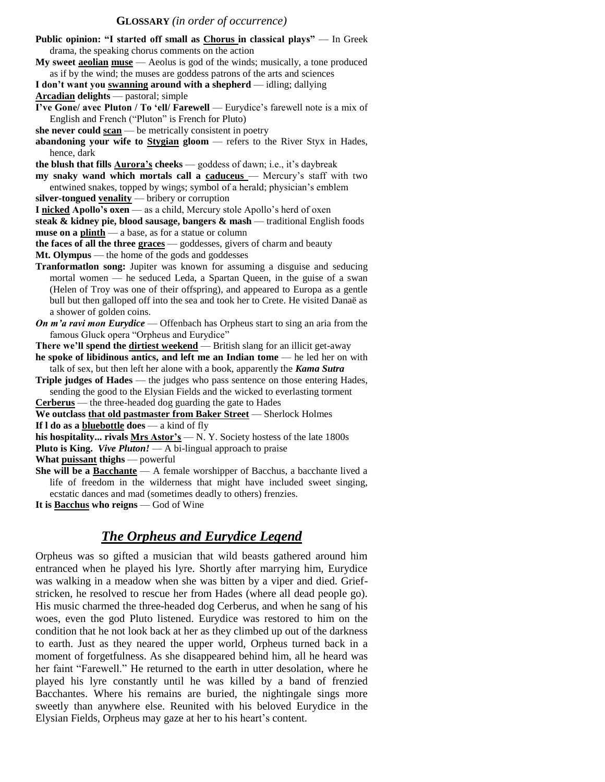#### **GLOSSARY** *(in order of occurrence)*

| Public opinion: "I started off small as Chorus in classical plays" - In Greek                        |
|------------------------------------------------------------------------------------------------------|
| drama, the speaking chorus comments on the action                                                    |
| My sweet acolian muse — Aeolus is god of the winds; musically, a tone produced                       |
| as if by the wind; the muses are goddess patrons of the arts and sciences                            |
| I don't want you swanning around with a shepherd - idling; dallying                                  |
| <b>Arcadian delights</b> — pastoral; simple                                                          |
| I've Gone/ avec Pluton / To 'ell/ Farewell — Eurydice's farewell note is a mix of                    |
| English and French ("Pluton" is French for Pluto)                                                    |
| she never could $\frac{\operatorname{scan}}{\operatorname{scan}}$ be metrically consistent in poetry |
| abandoning your wife to $Stygian$ gloom $-$ refers to the River Styx in Hades,                       |
| hence, dark                                                                                          |
| the blush that fills <b>Aurora's</b> cheeks — goddess of dawn; i.e., it's daybreak                   |
| my snaky wand which mortals call a caduceus - Mercury's staff with two                               |
| entwined snakes, topped by wings; symbol of a herald; physician's emblem                             |
| silver-tongued venality $-$ bribery or corruption                                                    |
| I nicked Apollo's oxen — as a child, Mercury stole Apollo's herd of oxen                             |
| steak & kidney pie, blood sausage, bangers & mash - traditional English foods                        |
| muse on a plinth - a base, as for a statue or column                                                 |
| the faces of all the three graces - goddesses, givers of charm and beauty                            |
| Mt. Olympus — the home of the gods and goddesses                                                     |
| Tranformation song: Jupiter was known for assuming a disguise and seducing                           |
| mortal women — he seduced Leda, a Spartan Queen, in the guise of a swan                              |
| (Helen of Troy was one of their offspring), and appeared to Europa as a gentle                       |
| bull but then galloped off into the sea and took her to Crete. He visited Danaë as                   |
| a shower of golden coins.                                                                            |
| On $m$ 'a ravi mon Eurydice — Offenbach has Orpheus start to sing an aria from the                   |
| famous Gluck opera "Orpheus and Eurydice"                                                            |
| There we'll spend the dirtiest weekend - British slang for an illicit get-away                       |
| he spoke of libidinous antics, and left me an Indian tome - he led her on with                       |
| talk of sex, but then left her alone with a book, apparently the Kama Sutra                          |
| Triple judges of Hades — the judges who pass sentence on those entering Hades,                       |
| sending the good to the Elysian Fields and the wicked to everlasting torment                         |
| Cerberus - the three-headed dog guarding the gate to Hades                                           |
| We outclass that old pastmaster from Baker Street - Sherlock Holmes                                  |
| If $l$ do as a bluebottle does $-$ a kind of fly                                                     |
| his hospitality rivals Mrs Astor's - N. Y. Society hostess of the late 1800s                         |
| <b>Pluto is King.</b> Vive Pluton! $- A$ bi-lingual approach to praise                               |
| What puissant thighs - powerful                                                                      |
| <b>She will be a Bacchante</b> $-$ A female worshipper of Bacchus, a bacchante lived a               |
| life of freedom in the wilderness that might have included sweet singing,                            |

ecstatic dances and mad (sometimes deadly to others) frenzies. **It is Bacchus who reigns** — God of Wine

# *The Orpheus and Eurydice Legend*

Orpheus was so gifted a musician that wild beasts gathered around him entranced when he played his lyre. Shortly after marrying him, Eurydice was walking in a meadow when she was bitten by a viper and died. Griefstricken, he resolved to rescue her from Hades (where all dead people go). His music charmed the three-headed dog Cerberus, and when he sang of his woes, even the god Pluto listened. Eurydice was restored to him on the condition that he not look back at her as they climbed up out of the darkness to earth. Just as they neared the upper world, Orpheus turned back in a moment of forgetfulness. As she disappeared behind him, all he heard was her faint "Farewell." He returned to the earth in utter desolation, where he played his lyre constantly until he was killed by a band of frenzied Bacchantes. Where his remains are buried, the nightingale sings more sweetly than anywhere else. Reunited with his beloved Eurydice in the Elysian Fields, Orpheus may gaze at her to his heart's content.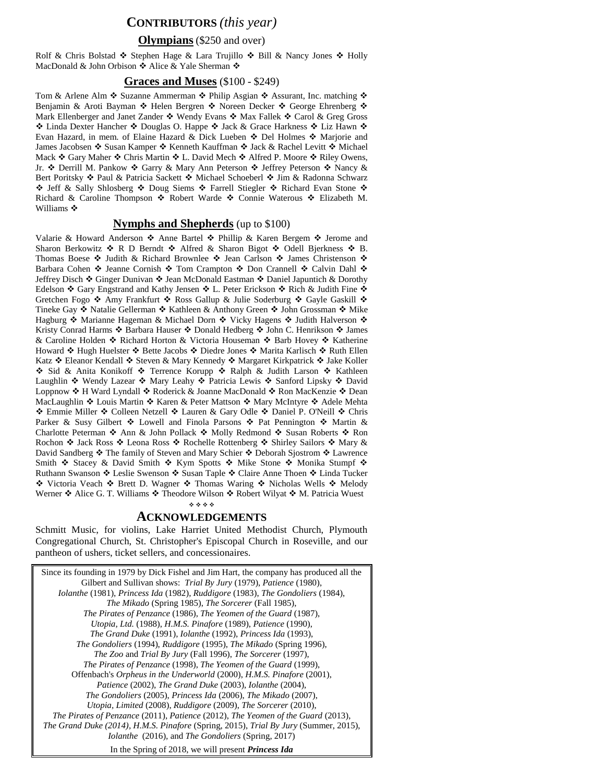# **CONTRIBUTORS** *(this year)*

#### **Olympians**(\$250 and over)

Rolf & Chris Bolstad  $\hat{\cdot}$  Stephen Hage & Lara Trujillo  $\hat{\cdot}$  Bill & Nancy Jones  $\hat{\cdot}$  Holly MacDonald & John Orbison  $\stackrel{\bullet}{\bullet}$  Alice & Yale Sherman  $\stackrel{\bullet}{\bullet}$ 

#### **Graces and Muses** (\$100 - \$249)

Tom & Arlene Alm  $\triangle$  Suzanne Ammerman  $\triangle$  Philip Asgian  $\triangle$  Assurant, Inc. matching  $\triangle$ Benjamin & Aroti Bayman ❖ Helen Bergren ❖ Noreen Decker ❖ George Ehrenberg ❖ Mark Ellenberger and Janet Zander  $\cdot \cdot \cdot$  Wendy Evans  $\cdot \cdot \cdot$  Max Fallek  $\cdot \cdot \cdot$  Carol & Greg Gross ◆ Linda Dexter Hancher ◆ Douglas O. Happe ◆ Jack & Grace Harkness ◆ Liz Hawn ◆ Evan Hazard, in mem. of Elaine Hazard & Dick Lueben  $\triangle$  Del Holmes  $\triangle$  Marjorie and James Jacobsen ❖ Susan Kamper ❖ Kenneth Kauffman ❖ Jack & Rachel Levitt ❖ Michael Mack  $\div$  Gary Maher  $\div$  Chris Martin  $\div$  L. David Mech  $\div$  Alfred P. Moore  $\div$  Riley Owens, Jr. ❖ Derrill M. Pankow ❖ Garry & Mary Ann Peterson ❖ Jeffrey Peterson ❖ Nancy & Bert Poritsky ❖ Paul & Patricia Sackett ❖ Michael Schoeberl ❖ Jim & Radonna Schwarz  $\div$  Jeff & Sally Shlosberg  $\div$  Doug Siems  $\div$  Farrell Stiegler  $\div$  Richard Evan Stone  $\div$ Richard & Caroline Thompson  $\ast$  Robert Warde  $\ast$  Connie Waterous  $\ast$  Elizabeth M. Williams ❖

#### **Nymphs and Shepherds** (up to \$100)

Valarie & Howard Anderson  $\div$  Anne Bartel  $\div$  Phillip & Karen Bergem  $\div$  Jerome and Sharon Berkowitz  $\cdot \cdot R$  D Berndt  $\cdot \cdot R$  Alfred & Sharon Bigot  $\cdot \cdot R$  Odell Bjerkness  $\cdot \cdot R$  B. Thomas Boese  $\cdot \cdot$  Judith & Richard Brownlee  $\cdot \cdot$  Jean Carlson  $\cdot \cdot$  James Christenson  $\cdot \cdot$ Barbara Cohen Jeanne Cornish Tom Crampton Don Crannell Calvin Dahl Jeffrey Disch ❖ Ginger Dunivan ❖ Jean McDonald Eastman ❖ Daniel Japuntich & Dorothy Edelson  $\hat{\mathbf{v}}$  Gary Engstrand and Kathy Jensen  $\hat{\mathbf{v}}$  L. Peter Erickson  $\hat{\mathbf{v}}$  Rich & Judith Fine  $\hat{\mathbf{v}}$ Gretchen Fogo  $\triangle$  Amy Frankfurt  $\triangle$  Ross Gallup & Julie Soderburg  $\triangle$  Gayle Gaskill  $\triangle$ Tineke Gay ❖ Natalie Gellerman ❖ Kathleen & Anthony Green ❖ John Grossman ❖ Mike Hagburg ◆ Marianne Hageman & Michael Dorn ◆ Vicky Hagens ◆ Judith Halverson ◆ Kristy Conrad Harms  $\cdot \cdot$  Barbara Hauser  $\cdot \cdot$  Donald Hedberg  $\cdot \cdot$  John C. Henrikson  $\cdot \cdot$  James & Caroline Holden ❖ Richard Horton & Victoria Houseman ❖ Barb Hovey ❖ Katherine Howard ❖ Hugh Huelster ❖ Bette Jacobs ❖ Diedre Jones ❖ Marita Karlisch ❖ Ruth Ellen Katz  $\triangle$  Eleanor Kendall  $\triangle$  Steven & Mary Kennedy  $\triangle$  Margaret Kirkpatrick  $\triangle$  Jake Koller ◆ Sid & Anita Konikoff ◆ Terrence Korupp ◆ Ralph & Judith Larson ◆ Kathleen Laughlin ❖ Wendy Lazear ❖ Mary Leahy ❖ Patricia Lewis ❖ Sanford Lipsky ❖ David Loppnow ❖ H Ward Lyndall ❖ Roderick & Joanne MacDonald ❖ Ron MacKenzie ❖ Dean MacLaughlin ❖ Louis Martin ❖ Karen & Peter Mattson ❖ Mary McIntyre ❖ Adele Mehta ◆ Emmie Miller ◆ Colleen Netzell ◆ Lauren & Gary Odle ◆ Daniel P. O'Neill ◆ Chris Parker & Susy Gilbert  $\cdot \cdot$  Lowell and Finola Parsons  $\cdot \cdot$  Pat Pennington  $\cdot \cdot$  Martin & Charlotte Peterman ❖ Ann & John Pollack ❖ Molly Redmond ❖ Susan Roberts ❖ Ron Rochon  $\cdot$  Jack Ross  $\cdot$  Leona Ross  $\cdot$  Rochelle Rottenberg  $\cdot$  Shirley Sailors  $\cdot$  Mary & David Sandberg ❖ The family of Steven and Mary Schier ❖ Deborah Sjostrom ❖ Lawrence Smith  $\cdot$  Stacey & David Smith  $\cdot$  Kym Spotts  $\cdot$  Mike Stone  $\cdot$  Monika Stumpf  $\cdot$ Ruthann Swanson ❖ Leslie Swenson ❖ Susan Taple ❖ Claire Anne Thoen ❖ Linda Tucker \* Victoria Veach \* Brett D. Wagner \* Thomas Waring \* Nicholas Wells \* Melody Werner  $\triangle$  Alice G. T. Williams  $\triangle$  Theodore Wilson  $\triangle$  Robert Wilyat  $\triangle$  M. Patricia Wuest

#### 

#### **ACKNOWLEDGEMENTS**

Schmitt Music, for violins, Lake Harriet United Methodist Church, Plymouth Congregational Church, St. Christopher's Episcopal Church in Roseville, and our pantheon of ushers, ticket sellers, and concessionaires.

| Since its founding in 1979 by Dick Fishel and Jim Hart, the company has produced all the  |
|-------------------------------------------------------------------------------------------|
| Gilbert and Sullivan shows: Trial By Jury (1979), Patience (1980),                        |
| Iolanthe (1981), Princess Ida (1982), Ruddigore (1983), The Gondoliers (1984),            |
| The Mikado (Spring 1985), The Sorcerer (Fall 1985),                                       |
| The Pirates of Penzance (1986), The Yeomen of the Guard (1987),                           |
| Utopia, Ltd. (1988), H.M.S. Pinafore (1989), Patience (1990),                             |
| The Grand Duke (1991), Iolanthe (1992), Princess Ida (1993),                              |
| The Gondoliers (1994), Ruddigore (1995), The Mikado (Spring 1996),                        |
| The Zoo and Trial By Jury (Fall 1996), The Sorcerer (1997),                               |
| The Pirates of Penzance (1998), The Yeomen of the Guard (1999),                           |
| Offenbach's Orpheus in the Underworld (2000), H.M.S. Pinafore (2001),                     |
| Patience (2002), The Grand Duke (2003), Iolanthe (2004),                                  |
| The Gondoliers (2005), Princess Ida (2006), The Mikado (2007),                            |
| Utopia, Limited (2008), Ruddigore (2009), The Sorcerer (2010),                            |
| The Pirates of Penzance $(2011)$ , Patience $(2012)$ , The Yeomen of the Guard $(2013)$ , |
| The Grand Duke (2014), H.M.S. Pinafore (Spring, 2015), Trial By Jury (Summer, 2015),      |
| <i>Iolanthe</i> (2016), and <i>The Gondoliers</i> (Spring, 2017)                          |
| In the Spring of 2018, we will present Princess Ida                                       |